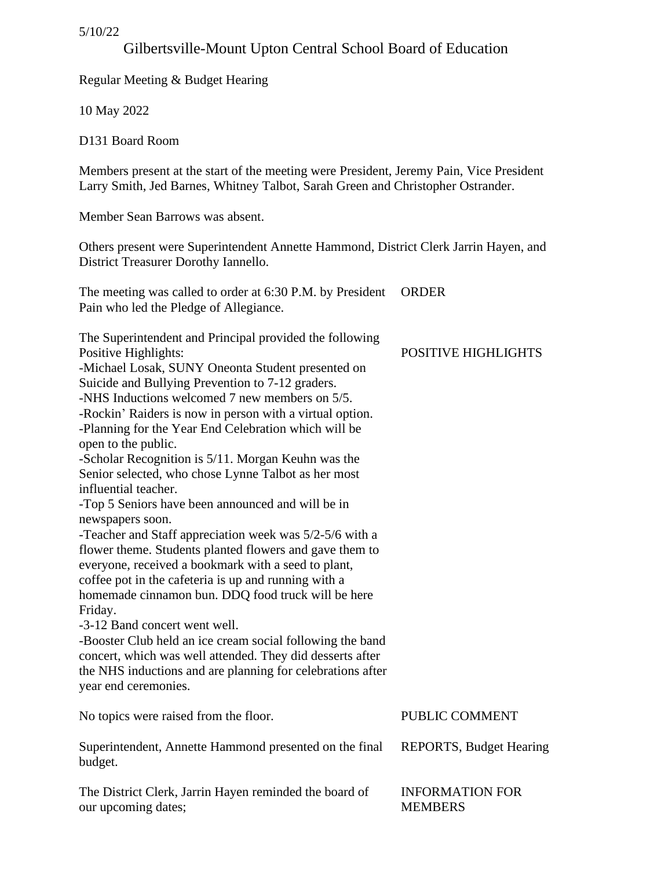5/10/22

# Gilbertsville-Mount Upton Central School Board of Education

Regular Meeting & Budget Hearing

10 May 2022

D131 Board Room

Members present at the start of the meeting were President, Jeremy Pain, Vice President Larry Smith, Jed Barnes, Whitney Talbot, Sarah Green and Christopher Ostrander.

Member Sean Barrows was absent.

Others present were Superintendent Annette Hammond, District Clerk Jarrin Hayen, and District Treasurer Dorothy Iannello.

The meeting was called to order at 6:30 P.M. by President ORDER Pain who led the Pledge of Allegiance.

The Superintendent and Principal provided the following Positive Highlights: -Michael Losak, SUNY Oneonta Student presented on Suicide and Bullying Prevention to 7-12 graders. -NHS Inductions welcomed 7 new members on 5/5. -Rockin' Raiders is now in person with a virtual option. -Planning for the Year End Celebration which will be open to the public. -Scholar Recognition is 5/11. Morgan Keuhn was the Senior selected, who chose Lynne Talbot as her most influential teacher. -Top 5 Seniors have been announced and will be in newspapers soon. -Teacher and Staff appreciation week was 5/2-5/6 with a flower theme. Students planted flowers and gave them to everyone, received a bookmark with a seed to plant, coffee pot in the cafeteria is up and running with a homemade cinnamon bun. DDQ food truck will be here Friday. -3-12 Band concert went well. -Booster Club held an ice cream social following the band concert, which was well attended. They did desserts after the NHS inductions and are planning for celebrations after year end ceremonies. No topics were raised from the floor. Superintendent, Annette Hammond presented on the final budget. PUBLIC COMMENT REPORTS, Budget Hearing

The District Clerk, Jarrin Hayen reminded the board of our upcoming dates;

POSITIVE HIGHLIGHTS

INFORMATION FOR

MEMBERS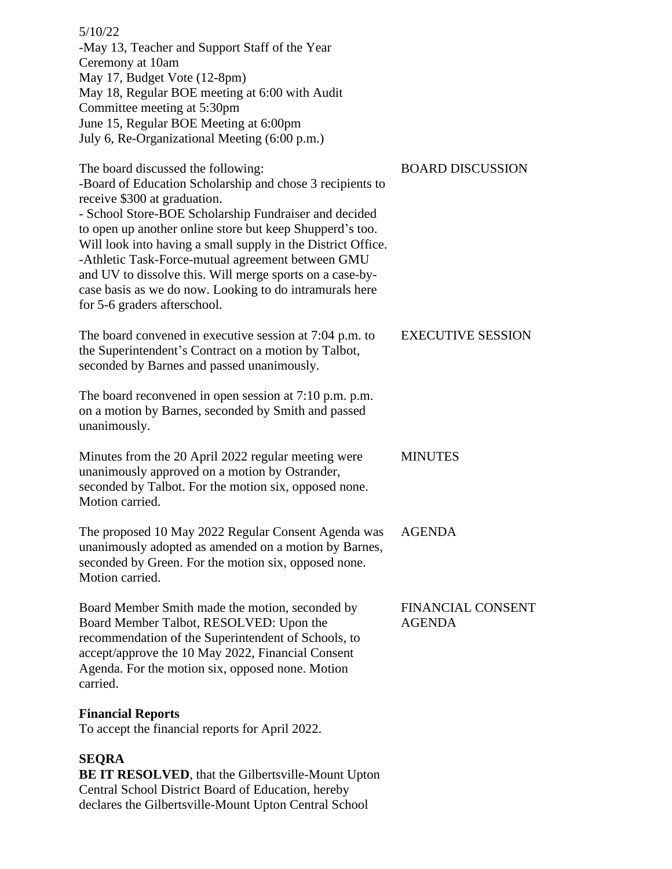5/10/22 -May 13, Teacher and Support Staff of the Year Ceremony at 10am May 17, Budget Vote (12-8pm) May 18, Regular BOE meeting at 6:00 with Audit Committee meeting at 5:30pm June 15, Regular BOE Meeting at 6:00pm July 6, Re-Organizational Meeting (6:00 p.m.)

The board discussed the following: -Board of Education Scholarship and chose 3 recipients to receive \$300 at graduation. - School Store-BOE Scholarship Fundraiser and decided to open up another online store but keep Shupperd's too. Will look into having a small supply in the District Office. -Athletic Task-Force-mutual agreement between GMU and UV to dissolve this. Will merge sports on a case-bycase basis as we do now. Looking to do intramurals here for 5-6 graders afterschool.

The board convened in executive session at 7:04 p.m. to the Superintendent's Contract on a motion by Talbot, seconded by Barnes and passed unanimously.

The board reconvened in open session at 7:10 p.m. p.m. on a motion by Barnes, seconded by Smith and passed unanimously.

Minutes from the 20 April 2022 regular meeting were unanimously approved on a motion by Ostrander, seconded by Talbot. For the motion six, opposed none. Motion carried. MINUTES

The proposed 10 May 2022 Regular Consent Agenda was unanimously adopted as amended on a motion by Barnes, seconded by Green. For the motion six, opposed none. Motion carried. AGENDA

Board Member Smith made the motion, seconded by Board Member Talbot, RESOLVED: Upon the recommendation of the Superintendent of Schools, to accept/approve the 10 May 2022, Financial Consent Agenda. For the motion six, opposed none. Motion carried.

#### **Financial Reports**

To accept the financial reports for April 2022.

# **SEQRA**

**BE IT RESOLVED**, that the Gilbertsville-Mount Upton Central School District Board of Education, hereby declares the Gilbertsville-Mount Upton Central School

# EXECUTIVE SESSION

FINANCIAL CONSENT

AGENDA

BOARD DISCUSSION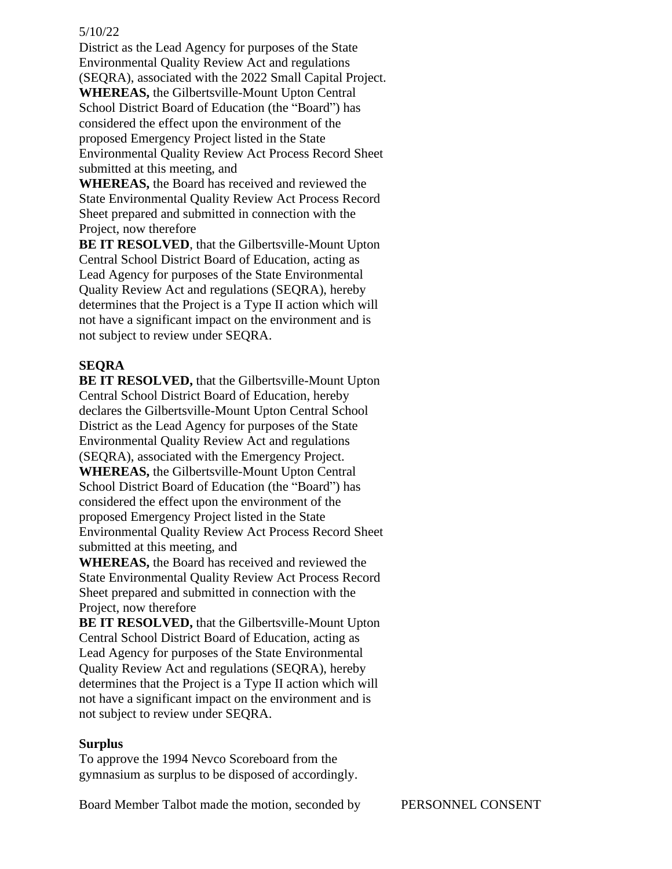#### 5/10/22

District as the Lead Agency for purposes of the State Environmental Quality Review Act and regulations (SEQRA), associated with the 2022 Small Capital Project.

**WHEREAS,** the Gilbertsville-Mount Upton Central School District Board of Education (the "Board") has considered the effect upon the environment of the proposed Emergency Project listed in the State Environmental Quality Review Act Process Record Sheet submitted at this meeting, and

**WHEREAS,** the Board has received and reviewed the State Environmental Quality Review Act Process Record Sheet prepared and submitted in connection with the Project, now therefore

**BE IT RESOLVED**, that the Gilbertsville-Mount Upton Central School District Board of Education, acting as Lead Agency for purposes of the State Environmental Quality Review Act and regulations (SEQRA), hereby determines that the Project is a Type II action which will not have a significant impact on the environment and is not subject to review under SEQRA.

## **SEQRA**

**BE IT RESOLVED,** that the Gilbertsville-Mount Upton Central School District Board of Education, hereby declares the Gilbertsville-Mount Upton Central School District as the Lead Agency for purposes of the State Environmental Quality Review Act and regulations (SEQRA), associated with the Emergency Project. **WHEREAS,** the Gilbertsville-Mount Upton Central School District Board of Education (the "Board") has considered the effect upon the environment of the proposed Emergency Project listed in the State Environmental Quality Review Act Process Record Sheet submitted at this meeting, and

**WHEREAS,** the Board has received and reviewed the State Environmental Quality Review Act Process Record Sheet prepared and submitted in connection with the Project, now therefore

**BE IT RESOLVED,** that the Gilbertsville-Mount Upton Central School District Board of Education, acting as Lead Agency for purposes of the State Environmental Quality Review Act and regulations (SEQRA), hereby determines that the Project is a Type II action which will not have a significant impact on the environment and is not subject to review under SEQRA.

#### **Surplus**

To approve the 1994 Nevco Scoreboard from the gymnasium as surplus to be disposed of accordingly.

Board Member Talbot made the motion, seconded by PERSONNEL CONSENT